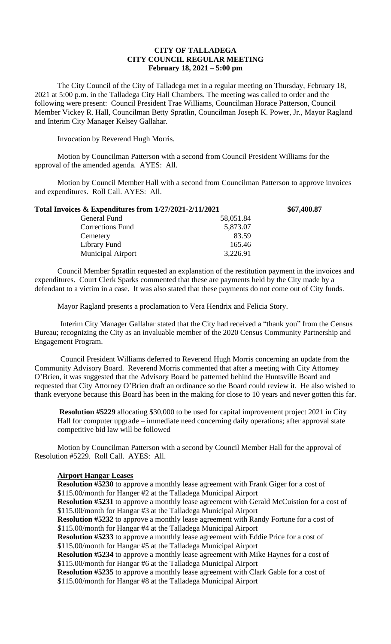## **CITY OF TALLADEGA CITY COUNCIL REGULAR MEETING February 18, 2021 – 5:00 pm**

The City Council of the City of Talladega met in a regular meeting on Thursday, February 18, 2021 at 5:00 p.m. in the Talladega City Hall Chambers. The meeting was called to order and the following were present: Council President Trae Williams, Councilman Horace Patterson, Council Member Vickey R. Hall, Councilman Betty Spratlin, Councilman Joseph K. Power, Jr., Mayor Ragland and Interim City Manager Kelsey Gallahar.

Invocation by Reverend Hugh Morris.

Motion by Councilman Patterson with a second from Council President Williams for the approval of the amended agenda. AYES: All.

Motion by Council Member Hall with a second from Councilman Patterson to approve invoices and expenditures. Roll Call. AYES: All.

| Total Invoices & Expenditures from 1/27/2021-2/11/2021 |           | \$67,400.87 |
|--------------------------------------------------------|-----------|-------------|
| General Fund                                           | 58,051.84 |             |
| <b>Corrections Fund</b>                                | 5,873.07  |             |
| Cemetery                                               | 83.59     |             |
| Library Fund                                           | 165.46    |             |
| <b>Municipal Airport</b>                               | 3,226.91  |             |

Council Member Spratlin requested an explanation of the restitution payment in the invoices and expenditures. Court Clerk Sparks commented that these are payments held by the City made by a defendant to a victim in a case. It was also stated that these payments do not come out of City funds.

Mayor Ragland presents a proclamation to Vera Hendrix and Felicia Story.

Interim City Manager Gallahar stated that the City had received a "thank you" from the Census Bureau; recognizing the City as an invaluable member of the 2020 Census Community Partnership and Engagement Program.

Council President Williams deferred to Reverend Hugh Morris concerning an update from the Community Advisory Board. Reverend Morris commented that after a meeting with City Attorney O'Brien, it was suggested that the Advisory Board be patterned behind the Huntsville Board and requested that City Attorney O'Brien draft an ordinance so the Board could review it. He also wished to thank everyone because this Board has been in the making for close to 10 years and never gotten this far.

**Resolution #5229** allocating \$30,000 to be used for capital improvement project 2021 in City Hall for computer upgrade – immediate need concerning daily operations; after approval state competitive bid law will be followed

Motion by Councilman Patterson with a second by Council Member Hall for the approval of Resolution #5229. Roll Call. AYES: All.

## **Airport Hangar Leases**

**Resolution #5230** to approve a monthly lease agreement with Frank Giger for a cost of \$115.00/month for Hanger #2 at the Talladega Municipal Airport **Resolution #5231** to approve a monthly lease agreement with Gerald McCuistion for a cost of \$115.00/month for Hangar #3 at the Talladega Municipal Airport **Resolution #5232** to approve a monthly lease agreement with Randy Fortune for a cost of \$115.00/month for Hangar #4 at the Talladega Municipal Airport **Resolution #5233** to approve a monthly lease agreement with Eddie Price for a cost of \$115.00/month for Hangar #5 at the Talladega Municipal Airport **Resolution #5234** to approve a monthly lease agreement with Mike Haynes for a cost of \$115.00/month for Hangar #6 at the Talladega Municipal Airport **Resolution #5235** to approve a monthly lease agreement with Clark Gable for a cost of \$115.00/month for Hangar #8 at the Talladega Municipal Airport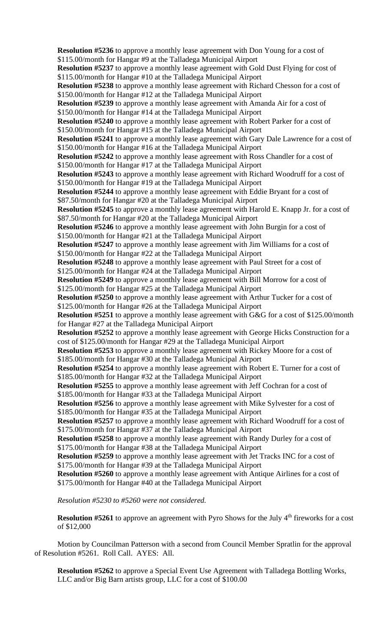**Resolution #5236** to approve a monthly lease agreement with Don Young for a cost of \$115.00/month for Hangar #9 at the Talladega Municipal Airport **Resolution #5237** to approve a monthly lease agreement with Gold Dust Flying for cost of \$115.00/month for Hangar #10 at the Talladega Municipal Airport **Resolution #5238** to approve a monthly lease agreement with Richard Chesson for a cost of \$150.00/month for Hangar #12 at the Talladega Municipal Airport **Resolution #5239** to approve a monthly lease agreement with Amanda Air for a cost of \$150.00/month for Hangar #14 at the Talladega Municipal Airport **Resolution #5240** to approve a monthly lease agreement with Robert Parker for a cost of \$150.00/month for Hangar #15 at the Talladega Municipal Airport **Resolution #5241** to approve a monthly lease agreement with Gary Dale Lawrence for a cost of \$150.00/month for Hangar #16 at the Talladega Municipal Airport **Resolution #5242** to approve a monthly lease agreement with Ross Chandler for a cost of \$150.00/month for Hangar #17 at the Talladega Municipal Airport **Resolution #5243** to approve a monthly lease agreement with Richard Woodruff for a cost of \$150.00/month for Hangar #19 at the Talladega Municipal Airport **Resolution #5244** to approve a monthly lease agreement with Eddie Bryant for a cost of \$87.50/month for Hangar #20 at the Talladega Municipal Airport **Resolution #5245** to approve a monthly lease agreement with Harold E. Knapp Jr. for a cost of \$87.50/month for Hangar #20 at the Talladega Municipal Airport **Resolution #5246** to approve a monthly lease agreement with John Burgin for a cost of \$150.00/month for Hangar #21 at the Talladega Municipal Airport **Resolution #5247** to approve a monthly lease agreement with Jim Williams for a cost of \$150.00/month for Hangar #22 at the Talladega Municipal Airport **Resolution #5248** to approve a monthly lease agreement with Paul Street for a cost of \$125.00/month for Hangar #24 at the Talladega Municipal Airport **Resolution #5249** to approve a monthly lease agreement with Bill Morrow for a cost of \$125.00/month for Hangar #25 at the Talladega Municipal Airport **Resolution #5250** to approve a monthly lease agreement with Arthur Tucker for a cost of \$125.00/month for Hangar #26 at the Talladega Municipal Airport **Resolution #5251** to approve a monthly lease agreement with G&G for a cost of \$125.00/month for Hangar #27 at the Talladega Municipal Airport **Resolution #5252** to approve a monthly lease agreement with George Hicks Construction for a cost of \$125.00/month for Hangar #29 at the Talladega Municipal Airport **Resolution #5253** to approve a monthly lease agreement with Rickey Moore for a cost of \$185.00/month for Hangar #30 at the Talladega Municipal Airport **Resolution #5254** to approve a monthly lease agreement with Robert E. Turner for a cost of \$185.00/month for Hangar #32 at the Talladega Municipal Airport **Resolution #5255** to approve a monthly lease agreement with Jeff Cochran for a cost of \$185.00/month for Hangar #33 at the Talladega Municipal Airport **Resolution #5256** to approve a monthly lease agreement with Mike Sylvester for a cost of \$185.00/month for Hangar #35 at the Talladega Municipal Airport **Resolution #5257** to approve a monthly lease agreement with Richard Woodruff for a cost of \$175.00/month for Hangar #37 at the Talladega Municipal Airport **Resolution #5258** to approve a monthly lease agreement with Randy Durley for a cost of \$175.00/month for Hangar #38 at the Talladega Municipal Airport **Resolution #5259** to approve a monthly lease agreement with Jet Tracks INC for a cost of \$175.00/month for Hangar #39 at the Talladega Municipal Airport **Resolution #5260** to approve a monthly lease agreement with Antique Airlines for a cost of \$175.00/month for Hangar #40 at the Talladega Municipal Airport

*Resolution #5230 to #5260 were not considered.*

**Resolution #5261** to approve an agreement with Pyro Shows for the July 4<sup>th</sup> fireworks for a cost of \$12,000

Motion by Councilman Patterson with a second from Council Member Spratlin for the approval of Resolution #5261. Roll Call. AYES: All.

**Resolution #5262** to approve a Special Event Use Agreement with Talladega Bottling Works, LLC and/or Big Barn artists group, LLC for a cost of \$100.00